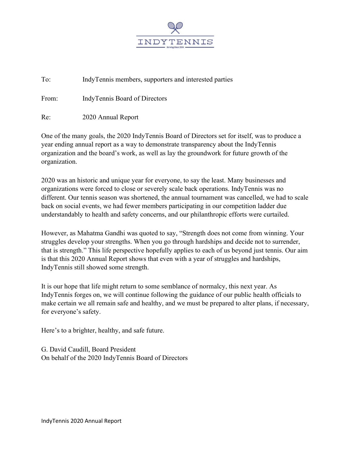

To: IndyTennis members, supporters and interested parties

From: IndyTennis Board of Directors

Re: 2020 Annual Report

One of the many goals, the 2020 IndyTennis Board of Directors set for itself, was to produce a year ending annual report as a way to demonstrate transparency about the IndyTennis organization and the board's work, as well as lay the groundwork for future growth of the organization.

2020 was an historic and unique year for everyone, to say the least. Many businesses and organizations were forced to close or severely scale back operations. IndyTennis was no different. Our tennis season was shortened, the annual tournament was cancelled, we had to scale back on social events, we had fewer members participating in our competition ladder due understandably to health and safety concerns, and our philanthropic efforts were curtailed.

However, as Mahatma Gandhi was quoted to say, "Strength does not come from winning. Your struggles develop your strengths. When you go through hardships and decide not to surrender, that is strength." This life perspective hopefully applies to each of us beyond just tennis. Our aim is that this 2020 Annual Report shows that even with a year of struggles and hardships, IndyTennis still showed some strength.

It is our hope that life might return to some semblance of normalcy, this next year. As IndyTennis forges on, we will continue following the guidance of our public health officials to make certain we all remain safe and healthy, and we must be prepared to alter plans, if necessary, for everyone's safety.

Here's to a brighter, healthy, and safe future.

G. David Caudill, Board President On behalf of the 2020 IndyTennis Board of Directors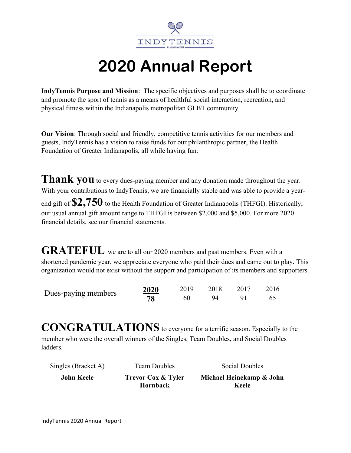

## 2020 Annual Report

IndyTennis Purpose and Mission: The specific objectives and purposes shall be to coordinate and promote the sport of tennis as a means of healthful social interaction, recreation, and physical fitness within the Indianapolis metropolitan GLBT community.

Our Vision: Through social and friendly, competitive tennis activities for our members and guests, IndyTennis has a vision to raise funds for our philanthropic partner, the Health Foundation of Greater Indianapolis, all while having fun.

Thank you to every dues-paying member and any donation made throughout the year. With your contributions to IndyTennis, we are financially stable and was able to provide a yearend gift of  $\$2,750$  to the Health Foundation of Greater Indianapolis (THFGI). Historically, our usual annual gift amount range to THFGI is between \$2,000 and \$5,000. For more 2020 financial details, see our financial statements.

GRATEFUL we are to all our 2020 members and past members. Even with a shortened pandemic year, we appreciate everyone who paid their dues and came out to play. This organization would not exist without the support and participation of its members and supporters.

| Dues-paying members | 2020 | 2019 | 2018 | 2016 |
|---------------------|------|------|------|------|
|                     |      |      | 94   |      |

CONGRATULATIONS to everyone for a terrific season. Especially to the member who were the overall winners of the Singles, Team Doubles, and Social Doubles ladders.

| Singles (Bracket A) | Team Doubles                              | Social Doubles                    |
|---------------------|-------------------------------------------|-----------------------------------|
| John Keele          | <b>Trevor Cox &amp; Tyler</b><br>Hornback | Michael Heinekamp & John<br>Keele |
|                     |                                           |                                   |